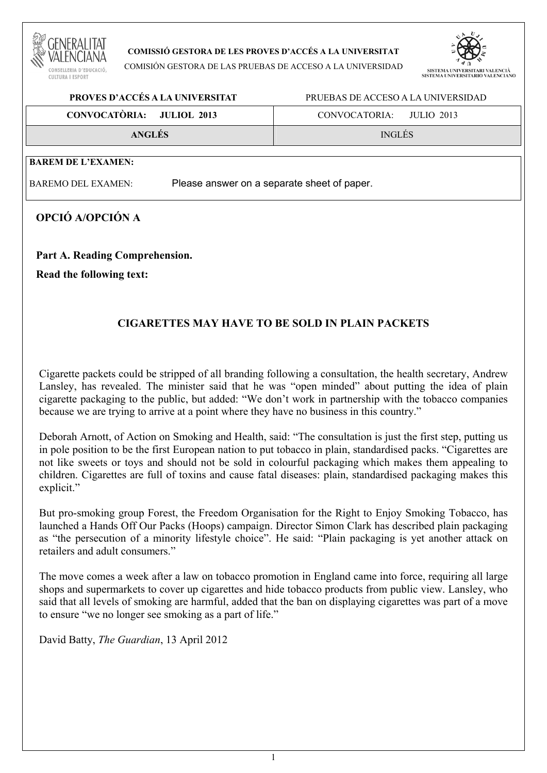

#### **COMISSIÓ GESTORA DE LES PROVES D'ACCÉS A LA UNIVERSITAT**

COMISIÓN GESTORA DE LAS PRUEBAS DE ACCESO A LA UNIVERSIDAD



# **PROVES D'ACCÉS A LA UNIVERSITAT** PRUEBAS DE ACCESO A LA UNIVERSIDAD **CONVOCATÒRIA: JULIOL 2013** CONVOCATORIA: JULIO 2013 **ANGLÉS** INGLÉS **BAREM DE L'EXAMEN:**

BAREMO DEL EXAMEN: Please answer on a separate sheet of paper.

# **OPCIÓ A/OPCIÓN A**

**Part A. Reading Comprehension. Read the following text:** 

# **CIGARETTES MAY HAVE TO BE SOLD IN PLAIN PACKETS**

Cigarette packets could be stripped of all branding following a consultation, the health secretary, Andrew Lansley, has revealed. The minister said that he was "open minded" about putting the idea of plain cigarette packaging to the public, but added: "We don't work in partnership with the tobacco companies because we are trying to arrive at a point where they have no business in this country."

Deborah Arnott, of Action on Smoking and Health, said: "The consultation is just the first step, putting us in pole position to be the first European nation to put tobacco in plain, standardised packs. "Cigarettes are not like sweets or toys and should not be sold in colourful packaging which makes them appealing to children. Cigarettes are full of toxins and cause fatal diseases: plain, standardised packaging makes this explicit."

But pro-smoking group Forest, the Freedom Organisation for the Right to Enjoy Smoking Tobacco, has launched a Hands Off Our Packs (Hoops) campaign. Director Simon Clark has described plain packaging as "the persecution of a minority lifestyle choice". He said: "Plain packaging is yet another attack on retailers and adult consumers."

The move comes a week after a law on tobacco promotion in England came into force, requiring all large shops and supermarkets to cover up cigarettes and hide tobacco products from public view. Lansley, who said that all levels of smoking are harmful, added that the ban on displaying cigarettes was part of a move to ensure "we no longer see smoking as a part of life."

David Batty, *The Guardian*, 13 April 2012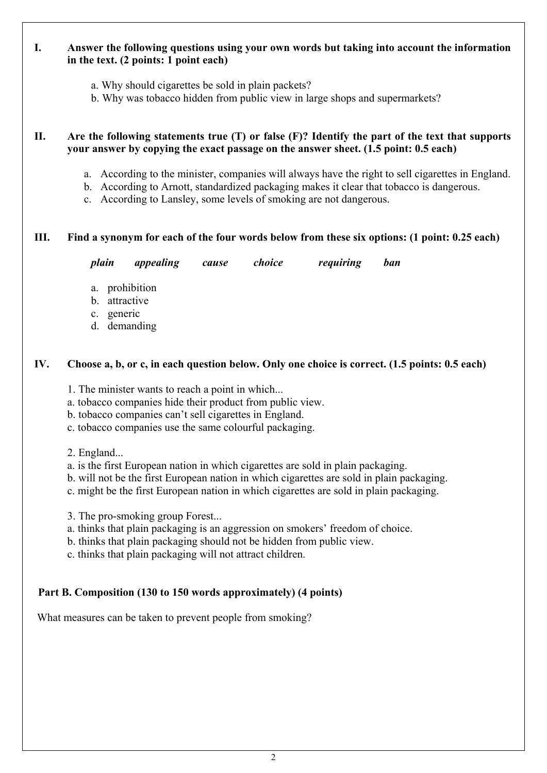# **I. Answer the following questions using your own words but taking into account the information in the text. (2 points: 1 point each)**

- a. Why should cigarettes be sold in plain packets?
- b. Why was tobacco hidden from public view in large shops and supermarkets?

### **II. Are the following statements true (T) or false (F)? Identify the part of the text that supports your answer by copying the exact passage on the answer sheet. (1.5 point: 0.5 each)**

- a. According to the minister, companies will always have the right to sell cigarettes in England.
- b. According to Arnott, standardized packaging makes it clear that tobacco is dangerous.
- c. According to Lansley, some levels of smoking are not dangerous.

### **III. Find a synonym for each of the four words below from these six options: (1 point: 0.25 each)**

 *plain appealing cause choice requiring ban* 

- a. prohibition
- b. attractive
- c. generic
- d. demanding

### **IV. Choose a, b, or c, in each question below. Only one choice is correct. (1.5 points: 0.5 each)**

1. The minister wants to reach a point in which...

- a. tobacco companies hide their product from public view.
- b. tobacco companies can't sell cigarettes in England.
- c. tobacco companies use the same colourful packaging.
- 2. England...
- a. is the first European nation in which cigarettes are sold in plain packaging.
- b. will not be the first European nation in which cigarettes are sold in plain packaging.
- c. might be the first European nation in which cigarettes are sold in plain packaging.
- 3. The pro-smoking group Forest...
- a. thinks that plain packaging is an aggression on smokers' freedom of choice.
- b. thinks that plain packaging should not be hidden from public view.
- c. thinks that plain packaging will not attract children.

# **Part B. Composition (130 to 150 words approximately) (4 points)**

What measures can be taken to prevent people from smoking?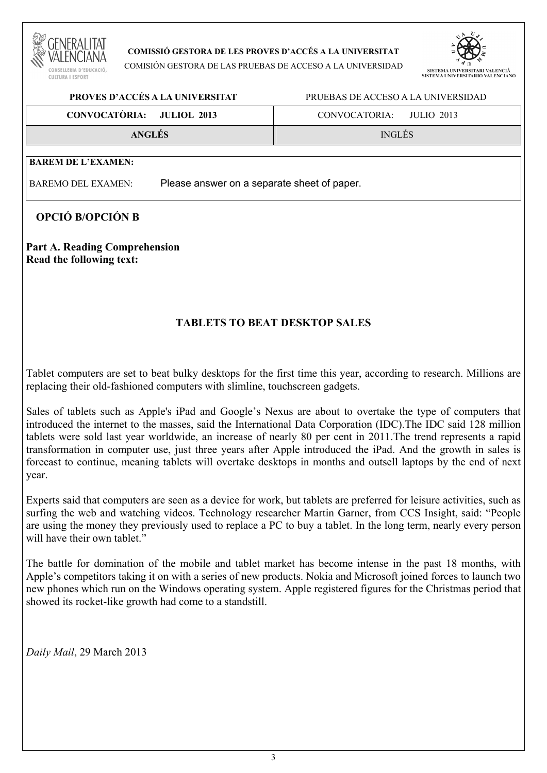

#### **COMISSIÓ GESTORA DE LES PROVES D'ACCÉS A LA UNIVERSITAT**

COMISIÓN GESTORA DE LAS PRUEBAS DE ACCESO A LA UNIVERSIDAD



# **PROVES D'ACCÉS A LA UNIVERSITAT** PRUEBAS DE ACCESO A LA UNIVERSIDAD **CONVOCATÒRIA: JULIOL 2013** CONVOCATORIA: JULIO 2013 **ANGLÉS** INGLÉS **BAREM DE L'EXAMEN:**  BAREMO DEL EXAMEN: Please answer on a separate sheet of paper.

# **OPCIÓ B/OPCIÓN B**

# **Part A. Reading Comprehension Read the following text:**

# **TABLETS TO BEAT DESKTOP SALES**

Tablet computers are set to beat bulky desktops for the first time this year, according to research. Millions are replacing their old-fashioned computers with slimline, touchscreen gadgets.

Sales of tablets such as Apple's iPad and Google's Nexus are about to overtake the type of computers that introduced the internet to the masses, said the International Data Corporation (IDC).The IDC said 128 million tablets were sold last year worldwide, an increase of nearly 80 per cent in 2011.The trend represents a rapid transformation in computer use, just three years after Apple introduced the iPad. And the growth in sales is forecast to continue, meaning tablets will overtake desktops in months and outsell laptops by the end of next year.

Experts said that computers are seen as a device for work, but tablets are preferred for leisure activities, such as surfing the web and watching videos. Technology researcher Martin Garner, from CCS Insight, said: "People are using the money they previously used to replace a PC to buy a tablet. In the long term, nearly every person will have their own tablet."

The battle for domination of the mobile and tablet market has become intense in the past 18 months, with Apple's competitors taking it on with a series of new products. Nokia and Microsoft joined forces to launch two new phones which run on the Windows operating system. Apple registered figures for the Christmas period that showed its rocket-like growth had come to a standstill.

*Daily Mail*, 29 March 2013